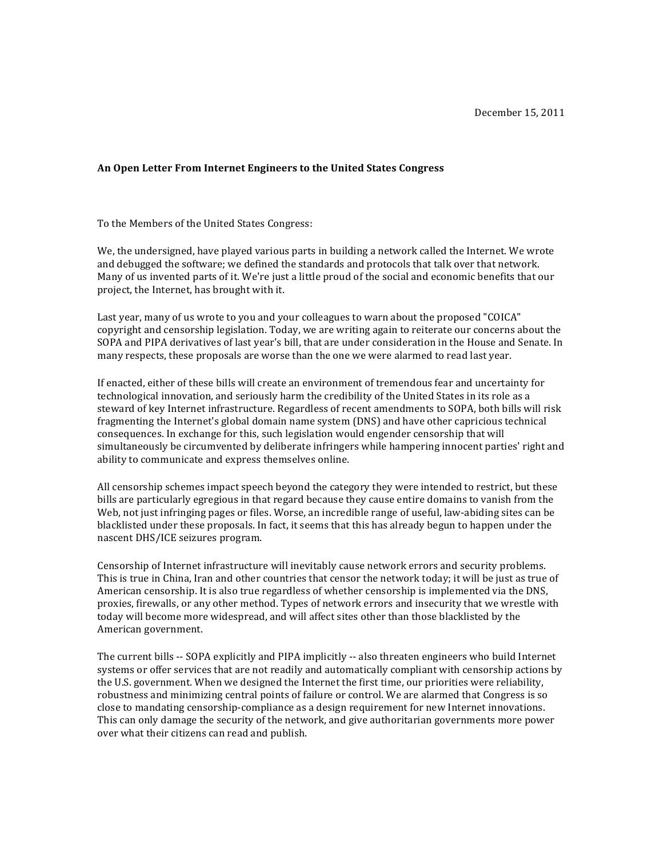## **An Open Letter From Internet Engineers to the United States Congress**

To the Members of the United States Congress:

We, the undersigned, have played various parts in building a network called the Internet. We wrote and debugged the software; we defined the standards and protocols that talk over that network. Many of us invented parts of it. We're just a little proud of the social and economic benefits that our project, the Internet, has brought with it.

Last year, many of us wrote to you and your colleagues to warn about the proposed "COICA" copyright and censorship legislation. Today, we are writing again to reiterate our concerns about the SOPA and PIPA derivatives of last year's bill, that are under consideration in the House and Senate. In many respects, these proposals are worse than the one we were alarmed to read last year.

If enacted, either of these bills will create an environment of tremendous fear and uncertainty for technological innovation, and seriously harm the credibility of the United States in its role as a steward of key Internet infrastructure. Regardless of recent amendments to SOPA, both bills will risk fragmenting the Internet's global domain name system (DNS) and have other capricious technical consequences. In exchange for this, such legislation would engender censorship that will simultaneously be circumvented by deliberate infringers while hampering innocent parties' right and ability to communicate and express themselves online.

All censorship schemes impact speech beyond the category they were intended to restrict, but these bills are particularly egregious in that regard because they cause entire domains to vanish from the Web, not just infringing pages or files. Worse, an incredible range of useful, law-abiding sites can be blacklisted under these proposals. In fact, it seems that this has already begun to happen under the nascent DHS/ICE seizures program.

Censorship of Internet infrastructure will inevitably cause network errors and security problems. This is true in China, Iran and other countries that censor the network today; it will be just as true of American censorship. It is also true regardless of whether censorship is implemented via the DNS, proxies, firewalls, or any other method. Types of network errors and insecurity that we wrestle with today will become more widespread, and will affect sites other than those blacklisted by the American government.

The current bills -- SOPA explicitly and PIPA implicitly -- also threaten engineers who build Internet systems or offer services that are not readily and automatically compliant with censorship actions by the U.S. government. When we designed the Internet the first time, our priorities were reliability, robustness and minimizing central points of failure or control. We are alarmed that Congress is so close to mandating censorship-compliance as a design requirement for new Internet innovations. This can only damage the security of the network, and give authoritarian governments more power over what their citizens can read and publish.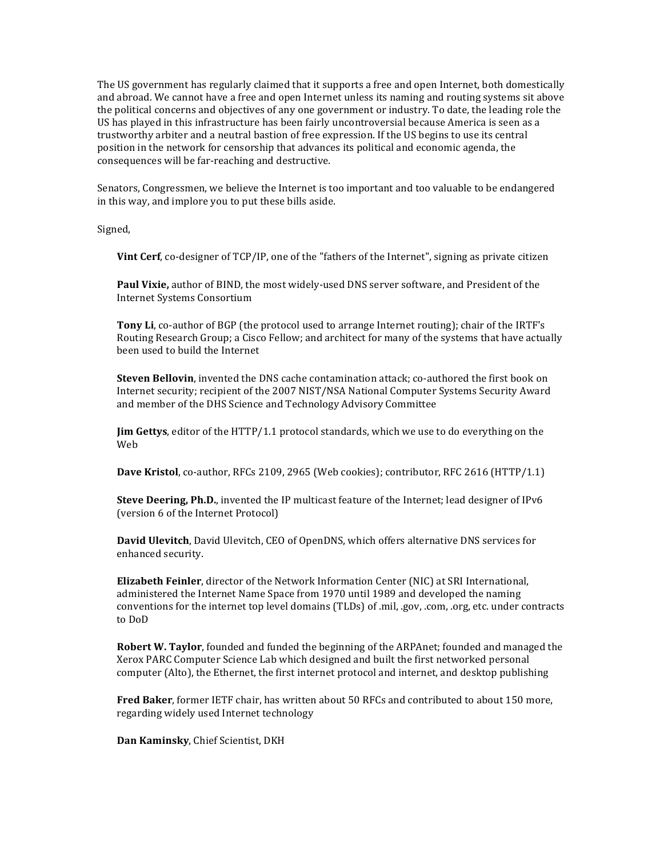The US government has regularly claimed that it supports a free and open Internet, both domestically and abroad. We cannot have a free and open Internet unless its naming and routing systems sit above the political concerns and objectives of any one government or industry. To date, the leading role the US has played in this infrastructure has been fairly uncontroversial because America is seen as a trustworthy arbiter and a neutral bastion of free expression. If the US begins to use its central position in the network for censorship that advances its political and economic agenda, the consequences will be far-reaching and destructive.

Senators, Congressmen, we believe the Internet is too important and too valuable to be endangered in this way, and implore you to put these bills aside.

Signed,

**Vint Cerf**, co-designer of TCP/IP, one of the "fathers of the Internet", signing as private citizen

Paul Vixie, author of BIND, the most widely-used DNS server software, and President of the Internet Systems Consortium

**Tony Li**, co-author of BGP (the protocol used to arrange Internet routing); chair of the IRTF's Routing Research Group; a Cisco Fellow; and architect for many of the systems that have actually been used to build the Internet

**Steven Bellovin**, invented the DNS cache contamination attack; co-authored the first book on Internet security; recipient of the 2007 NIST/NSA National Computer Systems Security Award and member of the DHS Science and Technology Advisory Committee

**Jim Gettys**, editor of the HTTP/1.1 protocol standards, which we use to do everything on the Web

**Dave Kristol**, co-author, RFCs 2109, 2965 (Web cookies); contributor, RFC 2616 (HTTP/1.1)

**Steve Deering, Ph.D.**, invented the IP multicast feature of the Internet; lead designer of IPv6 (version 6 of the Internet Protocol)

**David Ulevitch**, David Ulevitch, CEO of OpenDNS, which offers alternative DNS services for enhanced security.

**Elizabeth Feinler**, director of the Network Information Center (NIC) at SRI International, administered the Internet Name Space from 1970 until 1989 and developed the naming conventions for the internet top level domains (TLDs) of .mil, .gov, .com, .org, etc. under contracts to DoD

**Robert W. Taylor**, founded and funded the beginning of the ARPAnet; founded and managed the Xerox PARC Computer Science Lab which designed and built the first networked personal computer (Alto), the Ethernet, the first internet protocol and internet, and desktop publishing

**Fred Baker**, former IETF chair, has written about 50 RFCs and contributed to about 150 more, regarding widely used Internet technology

**Dan Kaminsky, Chief Scientist, DKH**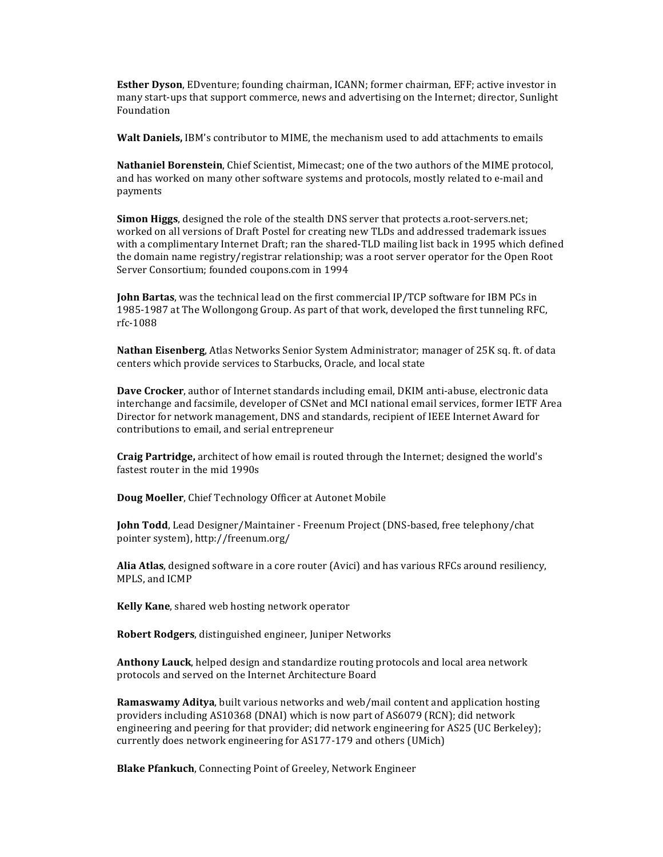**Esther Dyson**, EDventure; founding chairman, ICANN; former chairman, EFF; active investor in many start-ups that support commerce, news and advertising on the Internet; director, Sunlight Foundation

**Walt Daniels,** IBM's contributor to MIME, the mechanism used to add attachments to emails

**Nathaniel Borenstein**, Chief Scientist, Mimecast; one of the two authors of the MIME protocol, and has worked on many other software systems and protocols, mostly related to e-mail and payments

**Simon Higgs**, designed the role of the stealth DNS server that protects a.root-servers.net; worked on all versions of Draft Postel for creating new TLDs and addressed trademark issues with a complimentary Internet Draft; ran the shared-TLD mailing list back in 1995 which defined the domain name registry/registrar relationship; was a root server operator for the Open Root Server Consortium; founded coupons.com in 1994

**John Bartas**, was the technical lead on the first commercial IP/TCP software for IBM PCs in 1985-1987 at The Wollongong Group. As part of that work, developed the first tunneling RFC, rfc-1088

Nathan Eisenberg, Atlas Networks Senior System Administrator; manager of 25K sq. ft. of data centers which provide services to Starbucks, Oracle, and local state

**Dave Crocker**, author of Internet standards including email, DKIM anti-abuse, electronic data interchange and facsimile, developer of CSNet and MCI national email services, former IETF Area Director for network management, DNS and standards, recipient of IEEE Internet Award for contributions to email, and serial entrepreneur

**Craig Partridge,** architect of how email is routed through the Internet; designed the world's fastest router in the mid 1990s

**Doug Moeller**, Chief Technology Officer at Autonet Mobile

**John Todd**, Lead Designer/Maintainer - Freenum Project (DNS-based, free telephony/chat pointer system), http://freenum.org/

Alia Atlas, designed software in a core router (Avici) and has various RFCs around resiliency, MPLS, and ICMP

**Kelly Kane**, shared web hosting network operator

**Robert Rodgers**, distinguished engineer, Juniper Networks

**Anthony Lauck**, helped design and standardize routing protocols and local area network protocols and served on the Internet Architecture Board

**Ramaswamy Aditya**, built various networks and web/mail content and application hosting providers including AS10368 (DNAI) which is now part of AS6079 (RCN); did network engineering and peering for that provider; did network engineering for AS25 (UC Berkeley); currently does network engineering for AS177-179 and others (UMich)

**Blake Pfankuch**, Connecting Point of Greeley, Network Engineer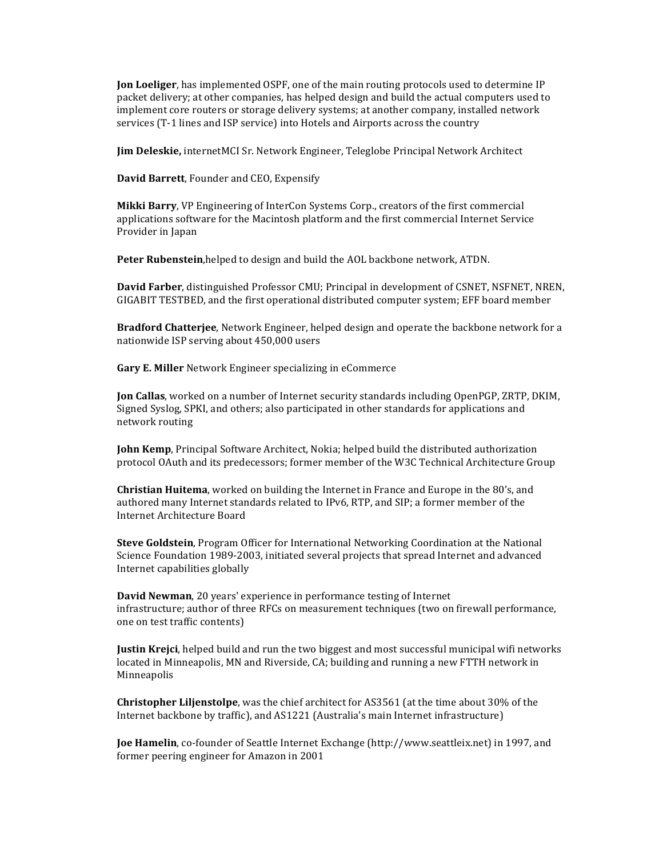**Jon Loeliger**, has implemented OSPF, one of the main routing protocols used to determine IP packet delivery; at other companies, has helped design and build the actual computers used to implement core routers or storage delivery systems; at another company, installed network services (T-1 lines and ISP service) into Hotels and Airports across the country

**Jim Deleskie,** internetMCI Sr. Network Engineer, Teleglobe Principal Network Architect

**David Barrett**, Founder and CEO, Expensify

**Mikki Barry,** VP Engineering of InterCon Systems Corp., creators of the first commercial applications software for the Macintosh platform and the first commercial Internet Service Provider in Japan

**Peter Rubenstein,**helped to design and build the AOL backbone network, ATDN.

**David Farber**, distinguished Professor CMU; Principal in development of CSNET, NSFNET, NREN, GIGABIT TESTBED, and the first operational distributed computer system; EFF board member

**Bradford Chatterjee**, Network Engineer, helped design and operate the backbone network for a nationwide ISP serving about 450,000 users

**Gary E. Miller** Network Engineer specializing in eCommerce

**Jon Callas**, worked on a number of Internet security standards including OpenPGP, ZRTP, DKIM, Signed Syslog, SPKI, and others; also participated in other standards for applications and network routing

**John Kemp**, Principal Software Architect, Nokia; helped build the distributed authorization protocol OAuth and its predecessors; former member of the W3C Technical Architecture Group

**Christian Huitema**, worked on building the Internet in France and Europe in the 80's, and authored many Internet standards related to IPv6, RTP, and SIP; a former member of the Internet Architecture Board

**Steve Goldstein**, Program Officer for International Networking Coordination at the National Science Foundation 1989-2003, initiated several projects that spread Internet and advanced Internet capabilities globally

**David Newman**, 20 years' experience in performance testing of Internet infrastructure; author of three RFCs on measurement techniques (two on firewall performance, one on test traffic contents)

**Justin Krejci**, helped build and run the two biggest and most successful municipal wifi networks located in Minneapolis, MN and Riverside, CA; building and running a new FTTH network in Minneapolis

**Christopher Liljenstolpe**, was the chief architect for AS3561 (at the time about 30% of the Internet backbone by traffic), and AS1221 (Australia's main Internet infrastructure)

**Joe Hamelin**, co-founder of Seattle Internet Exchange (http://www.seattleix.net) in 1997, and former peering engineer for Amazon in 2001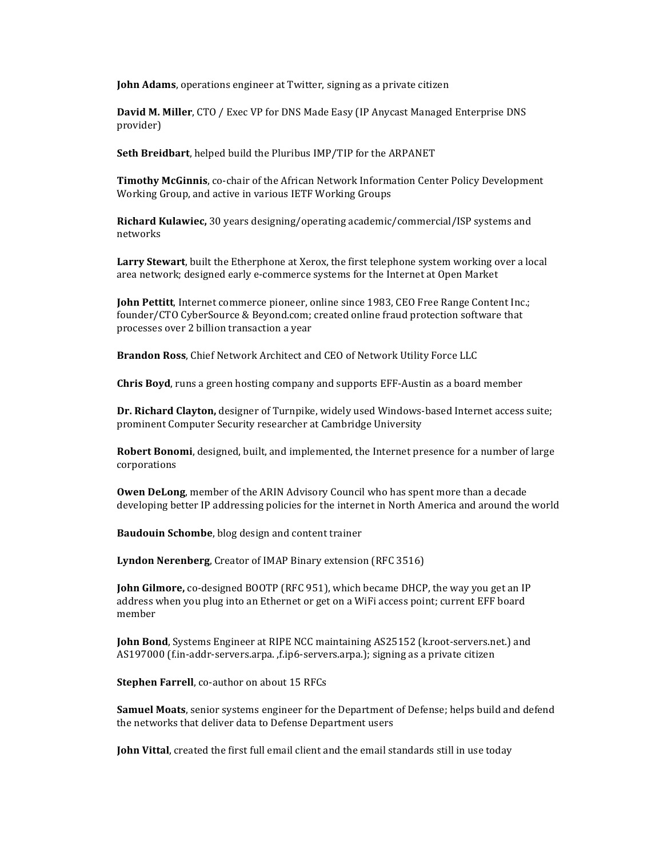**John Adams**, operations engineer at Twitter, signing as a private citizen

**David M. Miller, CTO / Exec VP for DNS Made Easy (IP Anycast Managed Enterprise DNS** provider)

**Seth Breidbart**, helped build the Pluribus IMP/TIP for the ARPANET

**Timothy McGinnis**, co-chair of the African Network Information Center Policy Development Working Group, and active in various IETF Working Groups

**Richard Kulawiec,** 30 years designing/operating academic/commercial/ISP systems and networks

Larry Stewart, built the Etherphone at Xerox, the first telephone system working over a local area network; designed early e-commerce systems for the Internet at Open Market

**John Pettitt**, Internet commerce pioneer, online since 1983, CEO Free Range Content Inc.; founder/CTO CyberSource & Beyond.com; created online fraud protection software that processes over 2 billion transaction a year

**Brandon Ross**, Chief Network Architect and CEO of Network Utility Force LLC

**Chris Boyd**, runs a green hosting company and supports EFF-Austin as a board member

**Dr. Richard Clayton,** designer of Turnpike, widely used Windows-based Internet access suite; prominent Computer Security researcher at Cambridge University

**Robert Bonomi**, designed, built, and implemented, the Internet presence for a number of large corporations

**Owen DeLong**, member of the ARIN Advisory Council who has spent more than a decade developing better IP addressing policies for the internet in North America and around the world

**Baudouin Schombe**, blog design and content trainer

**Lyndon Nerenberg**, Creator of IMAP Binary extension (RFC 3516)

**John Gilmore,** co-designed BOOTP (RFC 951), which became DHCP, the way you get an IP address when you plug into an Ethernet or get on a WiFi access point; current EFF board member

**John Bond**, Systems Engineer at RIPE NCC maintaining AS25152 (k.root-servers.net.) and AS197000 (f.in-addr-servers.arpa. ,f.ip6-servers.arpa.); signing as a private citizen

**Stephen Farrell**, co-author on about 15 RFCs

**Samuel Moats**, senior systems engineer for the Department of Defense; helps build and defend the networks that deliver data to Defense Department users

**John Vittal**, created the first full email client and the email standards still in use today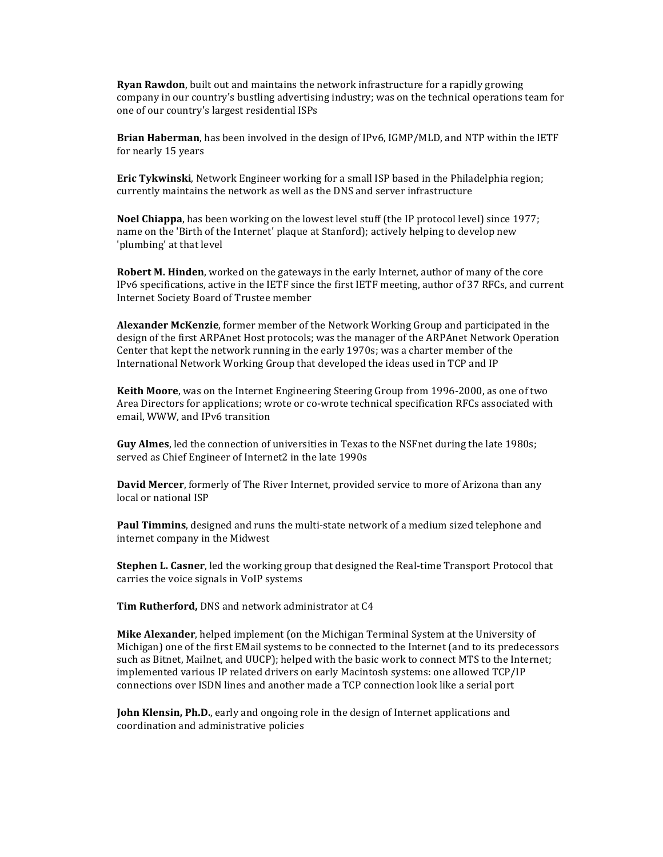**Ryan Rawdon**, built out and maintains the network infrastructure for a rapidly growing company in our country's bustling advertising industry; was on the technical operations team for one of our country's largest residential ISPs

**Brian Haberman**, has been involved in the design of IPv6, IGMP/MLD, and NTP within the IETF for nearly 15 years

**Eric Tykwinski**, Network Engineer working for a small ISP based in the Philadelphia region; currently maintains the network as well as the DNS and server infrastructure

**Noel Chiappa**, has been working on the lowest level stuff (the IP protocol level) since 1977; name on the 'Birth of the Internet' plaque at Stanford); actively helping to develop new 'plumbing' at that level

**Robert M. Hinden**, worked on the gateways in the early Internet, author of many of the core IPv6 specifications, active in the IETF since the first IETF meeting, author of 37 RFCs, and current Internet Society Board of Trustee member

**Alexander McKenzie**, former member of the Network Working Group and participated in the design of the first ARPAnet Host protocols; was the manager of the ARPAnet Network Operation Center that kept the network running in the early 1970s; was a charter member of the International Network Working Group that developed the ideas used in TCP and IP

**Keith Moore**, was on the Internet Engineering Steering Group from 1996-2000, as one of two Area Directors for applications; wrote or co-wrote technical specification RFCs associated with email, WWW, and IPv6 transition

**Guy Almes**, led the connection of universities in Texas to the NSFnet during the late 1980s; served as Chief Engineer of Internet2 in the late 1990s

**David Mercer**, formerly of The River Internet, provided service to more of Arizona than any local or national ISP

**Paul Timmins**, designed and runs the multi-state network of a medium sized telephone and internet company in the Midwest

**Stephen L. Casner**, led the working group that designed the Real-time Transport Protocol that carries the voice signals in VoIP systems

Tim Rutherford, DNS and network administrator at C4

**Mike Alexander**, helped implement (on the Michigan Terminal System at the University of Michigan) one of the first EMail systems to be connected to the Internet (and to its predecessors such as Bitnet, Mailnet, and UUCP); helped with the basic work to connect MTS to the Internet; implemented various IP related drivers on early Macintosh systems: one allowed TCP/IP connections over ISDN lines and another made a TCP connection look like a serial port

**John Klensin, Ph.D.**, early and ongoing role in the design of Internet applications and coordination and administrative policies